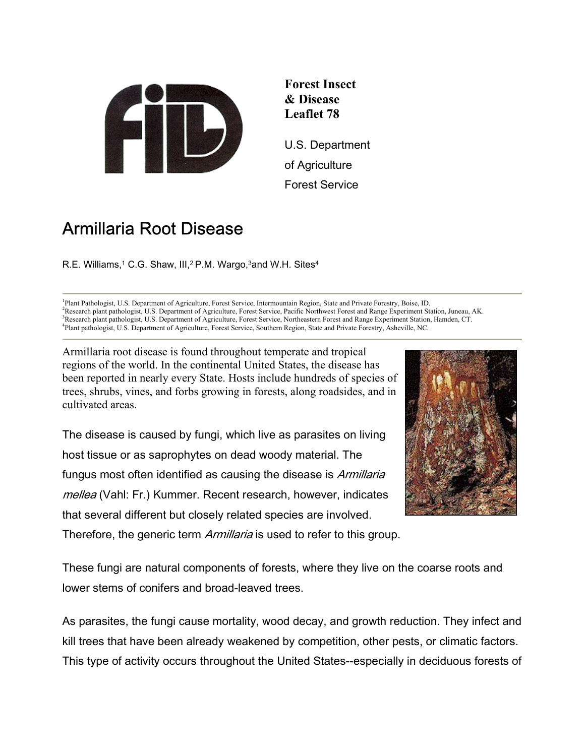

**Forest Insect & Disease Leaflet 78**

U.S. Department of Agriculture Forest Service

# Armillaria Root Disease

R.E. Williams,<sup>1</sup> C.G. Shaw, III,<sup>2</sup> P.M. Wargo,<sup>3</sup>and W.H. Sites<sup>4</sup>

<sup>1</sup>Plant Pathologist, U.S. Department of Agriculture, Forest Service, Intermountain Region, State and Private Forestry, Boise, ID.<br><sup>2</sup>Personal plant pathologist, U.S. Department of Agriculture, Forest Service, Bosifie Nort Research plant pathologist, U.S. Department of Agriculture, Forest Service, Pacific Northwest Forest and Range Experiment Station, Juneau, AK. <sup>3</sup> <sup>3</sup>Research plant pathologist, U.S. Department of Agriculture, Forest Service, Northeastern Forest and Range Experiment Station, Hamden, CT. Plant pathologist, U.S. Department of Agriculture, Forest Service, Southern Region, State and Private Forestry, Asheville, NC.

Armillaria root disease is found throughout temperate and tropical regions of the world. In the continental United States, the disease has been reported in nearly every State. Hosts include hundreds of species of trees, shrubs, vines, and forbs growing in forests, along roadsides, and in cultivated areas.

The disease is caused by fungi, which live as parasites on living host tissue or as saprophytes on dead woody material. The fungus most often identified as causing the disease is *Armillaria* mellea (Vahl: Fr.) Kummer. Recent research, however, indicates that several different but closely related species are involved. Therefore, the generic term *Armillaria* is used to refer to this group.



These fungi are natural components of forests, where they live on the coarse roots and lower stems of conifers and broad-leaved trees.

As parasites, the fungi cause mortality, wood decay, and growth reduction. They infect and kill trees that have been already weakened by competition, other pests, or climatic factors. This type of activity occurs throughout the United States--especially in deciduous forests of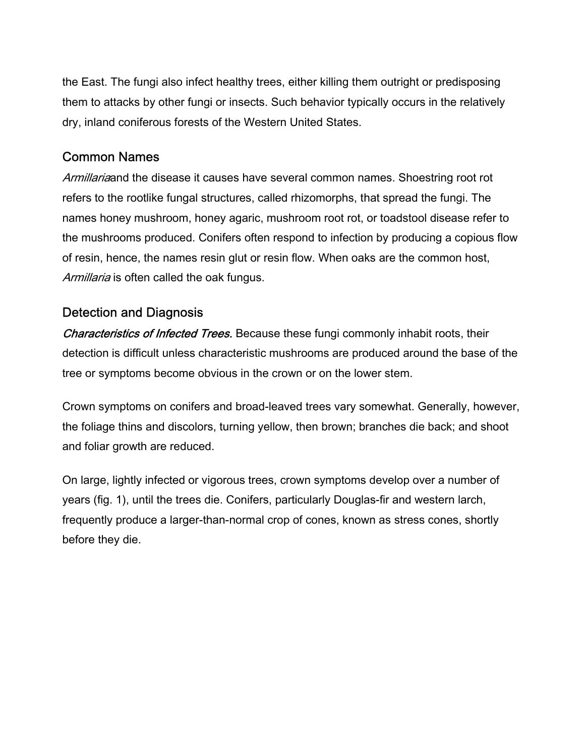the East. The fungi also infect healthy trees, either killing them outright or predisposing them to attacks by other fungi or insects. Such behavior typically occurs in the relatively dry, inland coniferous forests of the Western United States.

## Common Names

Armillariaand the disease it causes have several common names. Shoestring root rot refers to the rootlike fungal structures, called rhizomorphs, that spread the fungi. The names honey mushroom, honey agaric, mushroom root rot, or toadstool disease refer to the mushrooms produced. Conifers often respond to infection by producing a copious flow of resin, hence, the names resin glut or resin flow. When oaks are the common host, Armillaria is often called the oak fungus.

## Detection and Diagnosis

Characteristics of Infected Trees. Because these fungi commonly inhabit roots, their detection is difficult unless characteristic mushrooms are produced around the base of the tree or symptoms become obvious in the crown or on the lower stem.

Crown symptoms on conifers and broad-leaved trees vary somewhat. Generally, however, the foliage thins and discolors, turning yellow, then brown; branches die back; and shoot and foliar growth are reduced.

On large, lightly infected or vigorous trees, crown symptoms develop over a number of years (fig. 1), until the trees die. Conifers, particularly Douglas-fir and western larch, frequently produce a larger-than-normal crop of cones, known as stress cones, shortly before they die.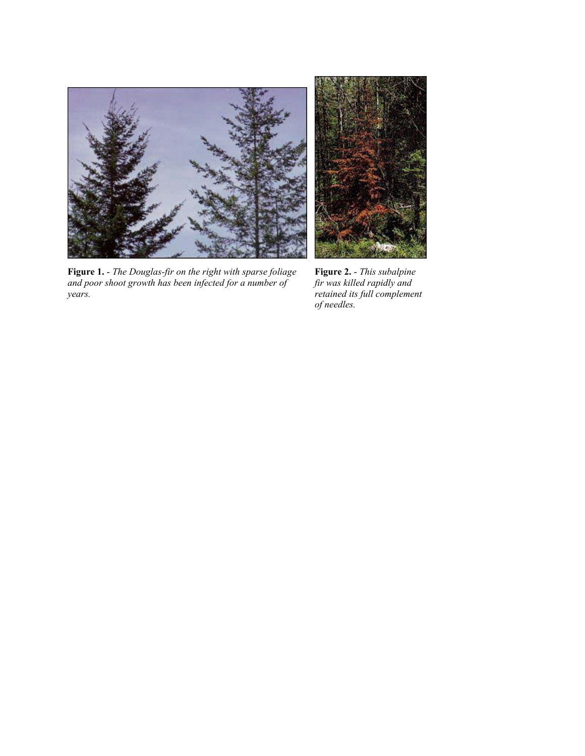



**Figure 1.** - *The Douglas-fir on the right with sparse foliage and poor shoot growth has been infected for a number of years.*

**Figure 2.** - *This subalpine fir was killed rapidly and retained its full complement of needles.*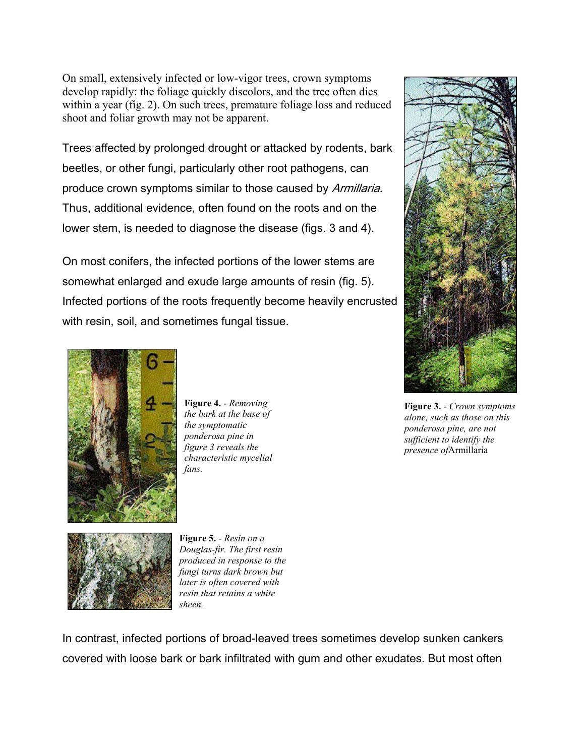On small, extensively infected or low-vigor trees, crown symptoms develop rapidly: the foliage quickly discolors, and the tree often dies within a year (fig. 2). On such trees, premature foliage loss and reduced shoot and foliar growth may not be apparent.

Trees affected by prolonged drought or attacked by rodents, bark beetles, or other fungi, particularly other root pathogens, can produce crown symptoms similar to those caused by Armillaria. Thus, additional evidence, often found on the roots and on the lower stem, is needed to diagnose the disease (figs. 3 and 4).

On most conifers, the infected portions of the lower stems are somewhat enlarged and exude large amounts of resin (fig. 5). Infected portions of the roots frequently become heavily encrusted with resin, soil, and sometimes fungal tissue.



**Figure 3.** - *Crown symptoms alone, such as those on this ponderosa pine, are not sufficient to identify the presence of*Armillaria



**Figure 4.** - *Removing the bark at the base of the symptomatic ponderosa pine in figure 3 reveals the characteristic mycelial fans.*



**Figure 5.** - *Resin on a Douglas-fir. The first resin produced in response to the fungi turns dark brown but later is often covered with resin that retains a white sheen.*

In contrast, infected portions of broad-leaved trees sometimes develop sunken cankers covered with loose bark or bark infiltrated with gum and other exudates. But most often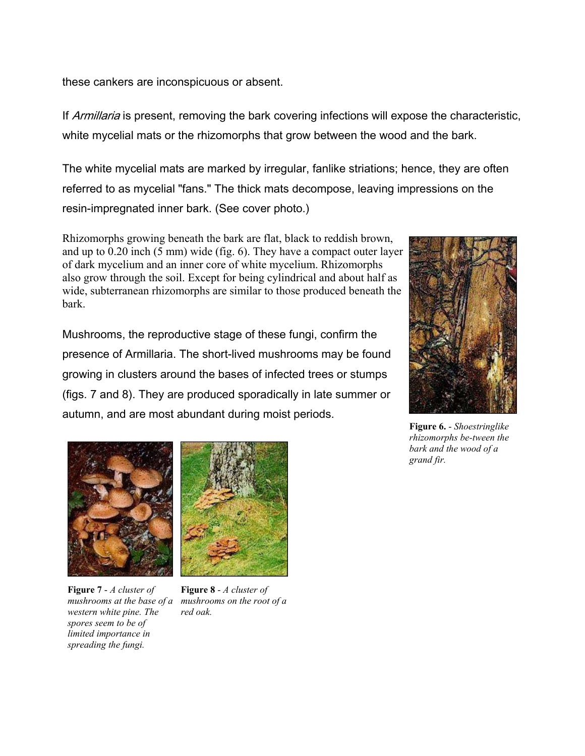these cankers are inconspicuous or absent.

If *Armillaria* is present, removing the bark covering infections will expose the characteristic, white mycelial mats or the rhizomorphs that grow between the wood and the bark.

The white mycelial mats are marked by irregular, fanlike striations; hence, they are often referred to as mycelial "fans." The thick mats decompose, leaving impressions on the resin-impregnated inner bark. (See cover photo.)

Rhizomorphs growing beneath the bark are flat, black to reddish brown, and up to 0.20 inch (5 mm) wide (fig. 6). They have a compact outer layer of dark mycelium and an inner core of white mycelium. Rhizomorphs also grow through the soil. Except for being cylindrical and about half as wide, subterranean rhizomorphs are similar to those produced beneath the bark.

Mushrooms, the reproductive stage of these fungi, confirm the presence of Armillaria. The short-lived mushrooms may be found growing in clusters around the bases of infected trees or stumps (figs. 7 and 8). They are produced sporadically in late summer or autumn, and are most abundant during moist periods.



**Figure 6.** - *Shoestringlike rhizomorphs be-tween the bark and the wood of a grand fir.*



**Figure 7** - *A cluster of mushrooms at the base of a western white pine. The spores seem to be of limited importance in spreading the fungi.*



**Figure 8** - *A cluster of mushrooms on the root of a red oak.*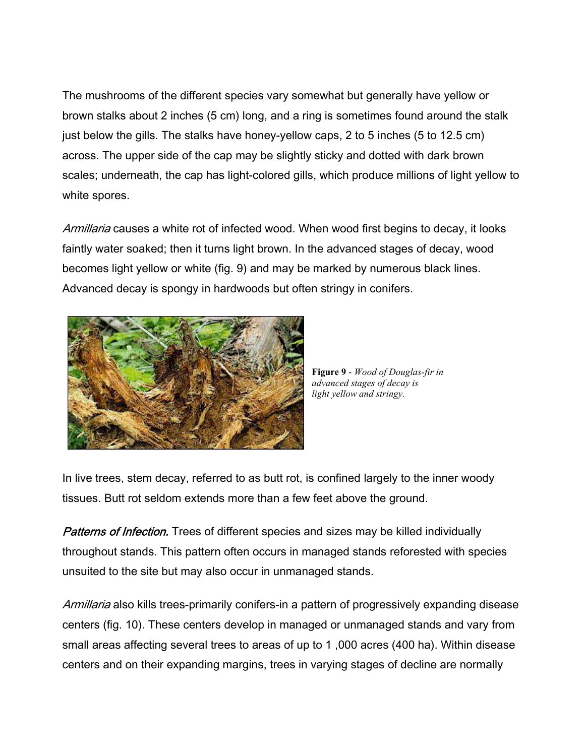The mushrooms of the different species vary somewhat but generally have yellow or brown stalks about 2 inches (5 cm) long, and a ring is sometimes found around the stalk just below the gills. The stalks have honey-yellow caps, 2 to 5 inches (5 to 12.5 cm) across. The upper side of the cap may be slightly sticky and dotted with dark brown scales; underneath, the cap has light-colored gills, which produce millions of light yellow to white spores.

Armillaria causes a white rot of infected wood. When wood first begins to decay, it looks faintly water soaked; then it turns light brown. In the advanced stages of decay, wood becomes light yellow or white (fig. 9) and may be marked by numerous black lines. Advanced decay is spongy in hardwoods but often stringy in conifers.



**Figure 9** - *Wood of Douglas-fir in advanced stages of decay is light yellow and stringy.*

In live trees, stem decay, referred to as butt rot, is confined largely to the inner woody tissues. Butt rot seldom extends more than a few feet above the ground.

**Patterns of Infection.** Trees of different species and sizes may be killed individually throughout stands. This pattern often occurs in managed stands reforested with species unsuited to the site but may also occur in unmanaged stands.

Armillaria also kills trees-primarily conifers-in a pattern of progressively expanding disease centers (fig. 10). These centers develop in managed or unmanaged stands and vary from small areas affecting several trees to areas of up to 1 ,000 acres (400 ha). Within disease centers and on their expanding margins, trees in varying stages of decline are normally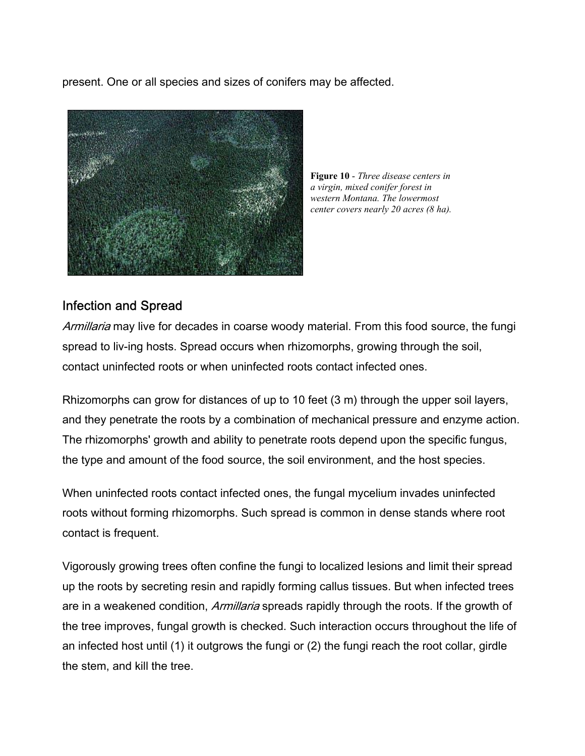present. One or all species and sizes of conifers may be affected.



**Figure 10** - *Three disease centers in a virgin, mixed conifer forest in western Montana. The lowermost center covers nearly 20 acres (8 ha).*

## Infection and Spread

Armillaria may live for decades in coarse woody material. From this food source, the fungi spread to liv-ing hosts. Spread occurs when rhizomorphs, growing through the soil, contact uninfected roots or when uninfected roots contact infected ones.

Rhizomorphs can grow for distances of up to 10 feet (3 m) through the upper soil layers, and they penetrate the roots by a combination of mechanical pressure and enzyme action. The rhizomorphs' growth and ability to penetrate roots depend upon the specific fungus, the type and amount of the food source, the soil environment, and the host species.

When uninfected roots contact infected ones, the fungal mycelium invades uninfected roots without forming rhizomorphs. Such spread is common in dense stands where root contact is frequent.

Vigorously growing trees often confine the fungi to localized lesions and limit their spread up the roots by secreting resin and rapidly forming callus tissues. But when infected trees are in a weakened condition, *Armillaria* spreads rapidly through the roots. If the growth of the tree improves, fungal growth is checked. Such interaction occurs throughout the life of an infected host until (1) it outgrows the fungi or (2) the fungi reach the root collar, girdle the stem, and kill the tree.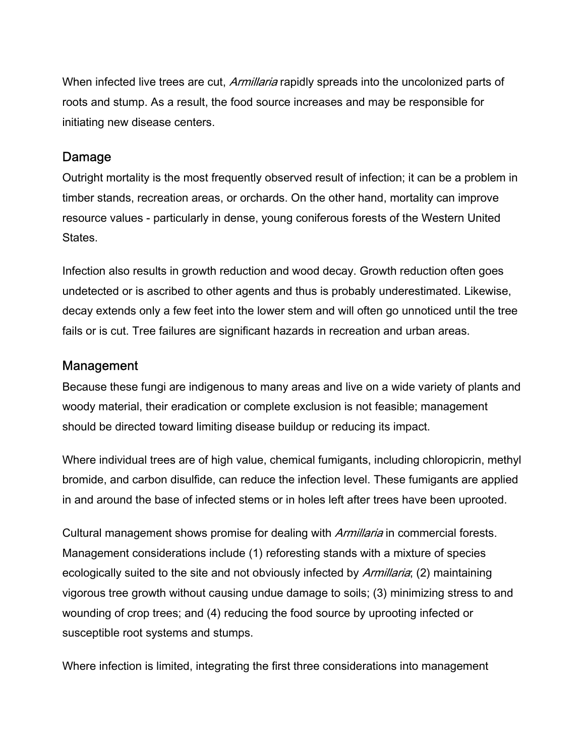When infected live trees are cut, Armillaria rapidly spreads into the uncolonized parts of roots and stump. As a result, the food source increases and may be responsible for initiating new disease centers.

### Damage

Outright mortality is the most frequently observed result of infection; it can be a problem in timber stands, recreation areas, or orchards. On the other hand, mortality can improve resource values - particularly in dense, young coniferous forests of the Western United States.

Infection also results in growth reduction and wood decay. Growth reduction often goes undetected or is ascribed to other agents and thus is probably underestimated. Likewise, decay extends only a few feet into the lower stem and will often go unnoticed until the tree fails or is cut. Tree failures are significant hazards in recreation and urban areas.

## Management

Because these fungi are indigenous to many areas and live on a wide variety of plants and woody material, their eradication or complete exclusion is not feasible; management should be directed toward limiting disease buildup or reducing its impact.

Where individual trees are of high value, chemical fumigants, including chloropicrin, methyl bromide, and carbon disulfide, can reduce the infection level. These fumigants are applied in and around the base of infected stems or in holes left after trees have been uprooted.

Cultural management shows promise for dealing with *Armillaria* in commercial forests. Management considerations include (1) reforesting stands with a mixture of species ecologically suited to the site and not obviously infected by Armillaria; (2) maintaining vigorous tree growth without causing undue damage to soils; (3) minimizing stress to and wounding of crop trees; and (4) reducing the food source by uprooting infected or susceptible root systems and stumps.

Where infection is limited, integrating the first three considerations into management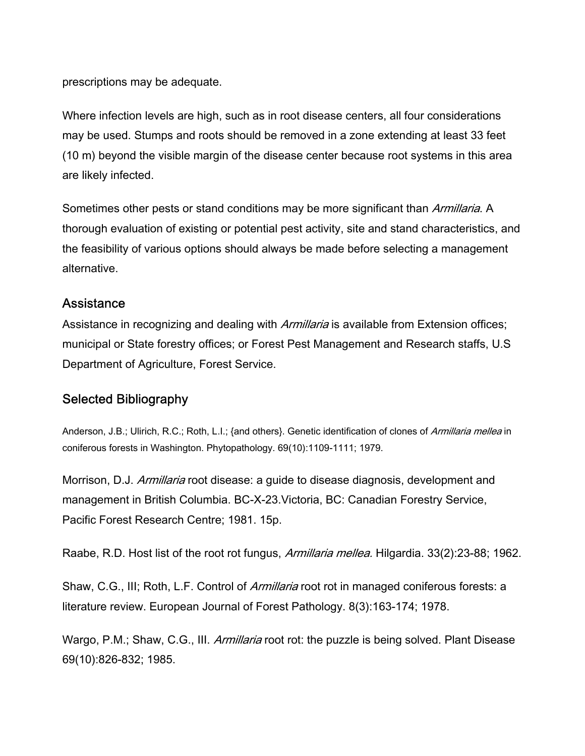prescriptions may be adequate.

Where infection levels are high, such as in root disease centers, all four considerations may be used. Stumps and roots should be removed in a zone extending at least 33 feet (10 m) beyond the visible margin of the disease center because root systems in this area are likely infected.

Sometimes other pests or stand conditions may be more significant than Armillaria. A thorough evaluation of existing or potential pest activity, site and stand characteristics, and the feasibility of various options should always be made before selecting a management alternative.

#### Assistance

Assistance in recognizing and dealing with *Armillaria* is available from Extension offices; municipal or State forestry offices; or Forest Pest Management and Research staffs, U.S Department of Agriculture, Forest Service.

### Selected Bibliography

Anderson, J.B.; Ulirich, R.C.; Roth, L.I.; {and others}. Genetic identification of clones of Armillaria mellea in coniferous forests in Washington. Phytopathology. 69(10):1109-1111; 1979.

Morrison, D.J. Armillaria root disease: a guide to disease diagnosis, development and management in British Columbia. BC-X-23.Victoria, BC: Canadian Forestry Service, Pacific Forest Research Centre; 1981. 15p.

Raabe, R.D. Host list of the root rot fungus, Armillaria mellea. Hilgardia. 33(2):23-88; 1962.

Shaw, C.G., III; Roth, L.F. Control of *Armillaria* root rot in managed coniferous forests: a literature review. European Journal of Forest Pathology. 8(3):163-174; 1978.

Wargo, P.M.; Shaw, C.G., III. Armillaria root rot: the puzzle is being solved. Plant Disease 69(10):826-832; 1985.